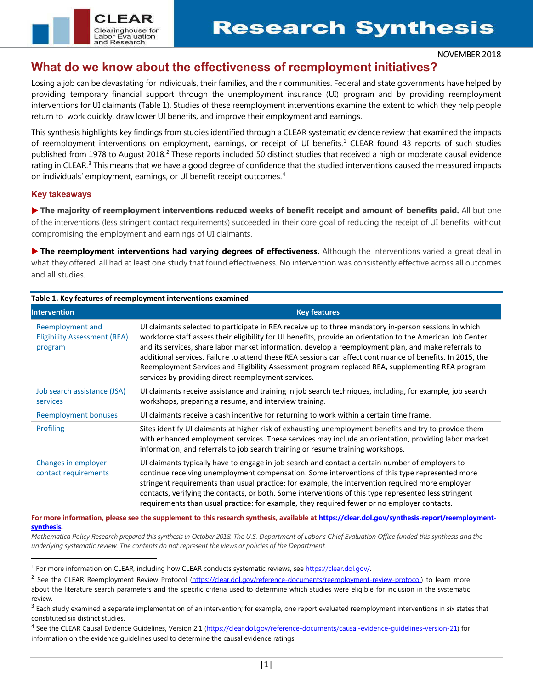#### NOVEMBER 2018

## **What do we know about the effectiveness of reemployment initiatives?**

Losing a job can be devastating for individuals, their families, and their communities. Federal and state governments have helped by providing temporary financial support through the unemployment insurance (UI) program and by providing reemployment interventions for UI claimants (Table 1). Studies of these reemployment interventions examine the extent to which they help people return to work quickly, draw lower UI benefits, and improve their employment and earnings.

This synthesis highlights key findings from studies identified through a CLEAR systematic evidence review that examined the impacts of reemployment interventions on employment, earnings, or receipt of UI benefits.[1](#page-0-0) CLEAR found 43 reports of such studies published from 1978 to August [2](#page-0-1)018.<sup>2</sup> These reports included 50 distinct studies that received a high or moderate causal evidence rating in CLEAR.<sup>[3](#page-0-2)</sup> This means that we have a good degree of confidence that the studied interventions caused the measured impacts on individuals' employment, earnings, or UI benefit receipt outcomes. [4](#page-0-3)

## **Key takeaways**

 $\overline{\phantom{a}}$ 

 **The majority of reemployment interventions reduced weeks of benefit receipt and amount of benefits paid.** All but one of the interventions (less stringent contact requirements) succeeded in their core goal of reducing the receipt of UI benefits without compromising the employment and earnings of UI claimants.

 **The reemployment interventions had varying degrees of effectiveness.** Although the interventions varied a great deal in what they offered, all had at least one study that found effectiveness. No intervention was consistently effective across all outcomes and all studies.

| <b>Intervention</b>                                                | <b>Key features</b>                                                                                                                                                                                                                                                                                                                                                                                                                                                                                                                                                                                   |  |  |  |  |  |  |
|--------------------------------------------------------------------|-------------------------------------------------------------------------------------------------------------------------------------------------------------------------------------------------------------------------------------------------------------------------------------------------------------------------------------------------------------------------------------------------------------------------------------------------------------------------------------------------------------------------------------------------------------------------------------------------------|--|--|--|--|--|--|
| Reemployment and<br><b>Eligibility Assessment (REA)</b><br>program | UI claimants selected to participate in REA receive up to three mandatory in-person sessions in which<br>workforce staff assess their eligibility for UI benefits, provide an orientation to the American Job Center<br>and its services, share labor market information, develop a reemployment plan, and make referrals to<br>additional services. Failure to attend these REA sessions can affect continuance of benefits. In 2015, the<br>Reemployment Services and Eligibility Assessment program replaced REA, supplementing REA program<br>services by providing direct reemployment services. |  |  |  |  |  |  |
| Job search assistance (JSA)<br>services                            | UI claimants receive assistance and training in job search techniques, including, for example, job search<br>workshops, preparing a resume, and interview training.                                                                                                                                                                                                                                                                                                                                                                                                                                   |  |  |  |  |  |  |
| <b>Reemployment bonuses</b>                                        | UI claimants receive a cash incentive for returning to work within a certain time frame.                                                                                                                                                                                                                                                                                                                                                                                                                                                                                                              |  |  |  |  |  |  |
| <b>Profiling</b>                                                   | Sites identify UI claimants at higher risk of exhausting unemployment benefits and try to provide them<br>with enhanced employment services. These services may include an orientation, providing labor market<br>information, and referrals to job search training or resume training workshops.                                                                                                                                                                                                                                                                                                     |  |  |  |  |  |  |
| Changes in employer<br>contact requirements                        | UI claimants typically have to engage in job search and contact a certain number of employers to<br>continue receiving unemployment compensation. Some interventions of this type represented more<br>stringent requirements than usual practice: for example, the intervention required more employer<br>contacts, verifying the contacts, or both. Some interventions of this type represented less stringent<br>requirements than usual practice: for example, they required fewer or no employer contacts.                                                                                        |  |  |  |  |  |  |

# **Table 1. Key features of reemployment interventions examined**

 $C1$  FAF

Clearinghouse for **Labor Evaluation** and Research

**For more information, please see the supplement to this research synthesis, available a[t https://clear.dol.gov/synthesis-report/reemployment](https://clear.dol.gov/synthesis-report/reemployment-synthesis)[synthesis.](https://clear.dol.gov/synthesis-report/reemployment-synthesis)**

Mathematica Policy Research prepared this synthesis in October 2018. The U.S. Department of Labor's Chief Evaluation Office funded this synthesis and the *underlying systematic review. The contents do not represent the views or policies of the Department.*

<span id="page-0-0"></span><sup>&</sup>lt;sup>1</sup> For more information on CLEAR, including how CLEAR conducts systematic reviews, see https://clear.dol.gov/.

<span id="page-0-1"></span><sup>&</sup>lt;sup>2</sup> See the CLEAR Reemployment Review Protocol [\(https://clear.dol.gov/reference-documents/reemployment-review-protocol\)](https://clear.dol.gov/reference-documents/reemployment-review-protocol) to learn more about the literature search parameters and the specific criteria used to determine which studies were eligible for inclusion in the systematic review.

<span id="page-0-2"></span> $3$  Each study examined a separate implementation of an intervention; for example, one report evaluated reemployment interventions in six states that constituted six distinct studies.

<span id="page-0-3"></span><sup>4</sup> See the CLEAR Causal Evidence Guidelines, Version 2.1 [\(https://clear.dol.gov/reference-documents/causal-evidence-guidelines-version-21\)](https://clear.dol.gov/reference-documents/causal-evidence-guidelines-version-21) for information on the evidence guidelines used to determine the causal evidence ratings.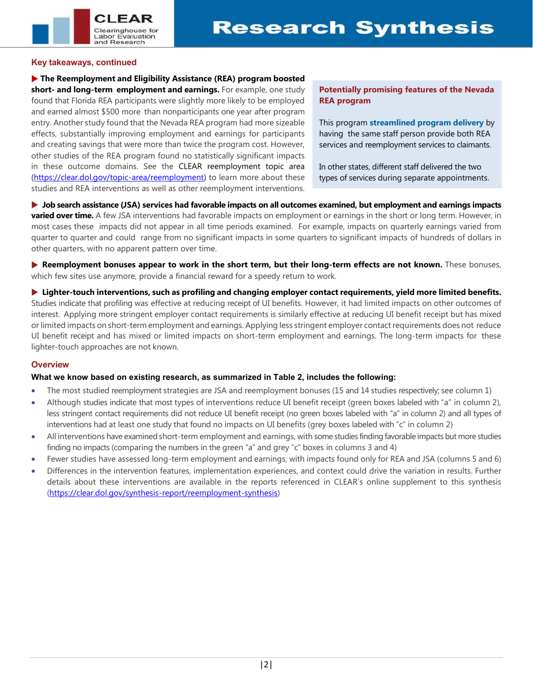

#### **Key takeaways, continued**

 **The Reemployment and Eligibility Assistance (REA) program boosted short- and long-term employment and earnings.** For example, one study found that Florida REA participants were slightly more likely to be employed and earned almost \$500 more than nonparticipants one year after program entry. Another study found that the Nevada REA program had more sizeable effects, substantially improving employment and earnings for participants and creating savings that were more than twice the program cost. However, other studies of the REA program found no statistically significant impacts in these outcome domains. See the CLEAR reemployment topic area [\(https://clear.dol.gov/topic-area/reemployment\)](https://clear.dol.gov/topic-area/reemployment) to learn more about these studies and REA interventions as well as other reemployment interventions.

## **Potentially promising features of the Nevada REA program**

This program **streamlined program delivery** by having the same staff person provide both REA services and reemployment services to claimants.

In other states, different staff delivered the two types of services during separate appointments.

 **Job search assistance (JSA) services had favorable impacts on all outcomes examined, but employment and earnings impacts varied over time.** A few JSA interventions had favorable impacts on employment or earnings in the short or long term. However, in most cases these impacts did not appear in all time periods examined. For example, impacts on quarterly earnings varied from quarter to quarter and could range from no significant impacts in some quarters to significant impacts of hundreds of dollars in other quarters, with no apparent pattern over time.

 **Reemployment bonuses appear to work in the short term, but their long-term effects are not known.** These bonuses, which few sites use anymore, provide a financial reward for a speedy return to work.

 **Lighter-touch interventions, such as profiling and changing employer contact requirements, yield more limited benefits.** Studies indicate that profiling was effective at reducing receipt of UI benefits. However, it had limited impacts on other outcomes of interest. Applying more stringent employer contact requirements is similarly effective at reducing UI benefit receipt but has mixed or limited impacts on short-term employment and earnings. Applying less stringent employer contact requirements does not reduce UI benefit receipt and has mixed or limited impacts on short-term employment and earnings. The long-term impacts for these lighter-touch approaches are not known.

## **Overview**

## **What we know based on existing research, as summarized in Table 2, includes the following:**

- The most studied reemployment strategies are JSA and reemployment bonuses (15 and 14 studies respectively; see column 1)
- Although studies indicate that most types of interventions reduce UI benefit receipt (green boxes labeled with "a" in column 2), less stringent contact requirements did not reduce UI benefit receipt (no green boxes labeled with "a" in column 2) and all types of interventions had at least one study that found no impacts on UI benefits (grey boxes labeled with "c" in column 2)
- All interventions have examined short-term employment and earnings, with some studies finding favorable impacts but more studies finding no impacts (comparing the numbers in the green "a" and grey "c" boxes in columns 3 and 4)
- Fewer studies have assessed long-term employment and earnings, with impacts found only for REA and JSA (columns 5 and 6)
- Differences in the intervention features, implementation experiences, and context could drive the variation in results. Further details about these interventions are available in the reports referenced in CLEAR's online supplement to this synthesis [\(https://clear.dol.gov/synthesis-report/reemployment-synthesis\)](https://clear.dol.gov/synthesis-report/reemployment-synthesis)